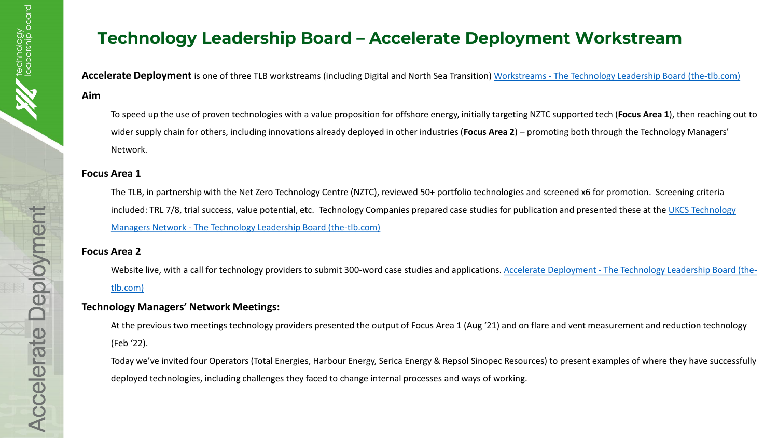## **Technology Leadership Board – Accelerate Deployment Workstream**

**Accelerate Deployment** is one of three TLB workstreams (including Digital and North Sea Transition) Workstreams - [The Technology Leadership Board \(the-tlb.com\)](http://www.the-tlb.com/workstreams.html)

#### **Aim**

To speed up the use of proven technologies with a value proposition for offshore energy, initially targeting NZTC supported tech (**Focus Area 1**), then reaching out to wider supply chain for others, including innovations already deployed in other industries (**Focus Area 2**) – promoting both through the Technology Managers' Network.

#### **Focus Area 1**

The TLB, in partnership with the Net Zero Technology Centre (NZTC), reviewed 50+ portfolio technologies and screened x6 for promotion. Screening criteria [included: TRL 7/8, trial success, value potential, etc. Technology Companies prepared case studies for publication and presented these at the UKCS Technology](http://www.the-tlb.com/ukcs-technology-managers-network.html) Managers Network - The Technology Leadership Board (the-tlb.com)

### **Focus Area 2**

[Website live, with a call for technology providers to submit 300-word case studies and applications. Accelerate Deployment -](http://www.the-tlb.com/accelerate-deployment.html) The Technology Leadership Board (thetlb.com)

## **Technology Managers' Network Meetings:**

At the previous two meetings technology providers presented the output of Focus Area 1 (Aug '21) and on flare and vent measurement and reduction technology (Feb '22).

Today we've invited four Operators (Total Energies, Harbour Energy, Serica Energy & Repsol Sinopec Resources) to present examples of where they have successfully deployed technologies, including challenges they faced to change internal processes and ways of working.